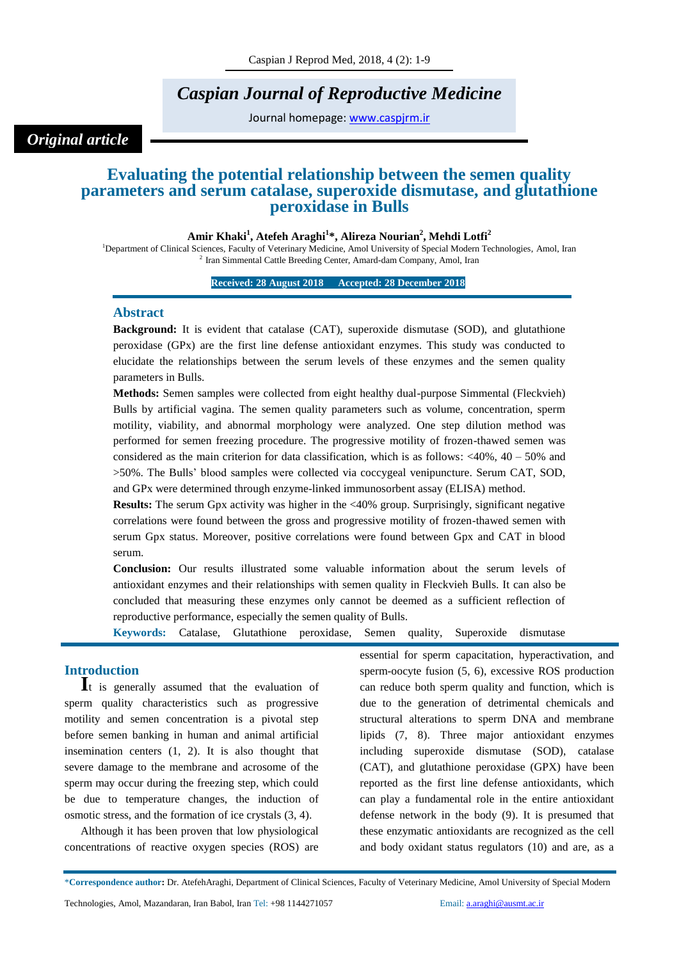# *Caspian Journal of Reproductive Medicine*

Journal homepage: [www.caspjrm.ir](http://www.caspjrm.ir/)

*Original article*

# **Evaluating the potential relationship between the semen quality parameters and serum catalase, superoxide dismutase, and glutathione peroxidase in Bulls**

#### **Amir Khaki<sup>1</sup> , Atefeh Araghi<sup>1</sup> \*, Alireza Nourian<sup>2</sup> , Mehdi Lotfi<sup>2</sup>**

<sup>1</sup>Department of Clinical Sciences, Faculty of Veterinary Medicine, Amol University of Special Modern Technologies, Amol, Iran <sup>2</sup> Iran Simmental Cattle Breeding Center, Amard-dam Company, Amol, Iran

**Received: 28 August 2018 Accepted: 28 December 2018** 

#### **Abstract**

**Background:** It is evident that catalase (CAT), superoxide dismutase (SOD), and glutathione peroxidase (GPx) are the first line defense antioxidant enzymes. This study was conducted to elucidate the relationships between the serum levels of these enzymes and the semen quality parameters in Bulls.

**Methods:** Semen samples were collected from eight healthy dual-purpose Simmental (Fleckvieh) Bulls by artificial vagina. The semen quality parameters such as volume, concentration, sperm motility, viability, and abnormal morphology were analyzed. One step dilution method was performed for semen freezing procedure. The progressive motility of frozen-thawed semen was considered as the main criterion for data classification, which is as follows:  $\langle 40\%, 40 - 50\% \rangle$  and >50%. The Bulls' blood samples were collected via coccygeal venipuncture. Serum CAT, SOD, and GPx were determined through enzyme-linked immunosorbent assay (ELISA) method.

**Results:** The serum Gpx activity was higher in the <40% group. Surprisingly, significant negative correlations were found between the gross and progressive motility of frozen-thawed semen with serum Gpx status. Moreover, positive correlations were found between Gpx and CAT in blood serum.

**Conclusion:** Our results illustrated some valuable information about the serum levels of antioxidant enzymes and their relationships with semen quality in Fleckvieh Bulls. It can also be concluded that measuring these enzymes only cannot be deemed as a sufficient reflection of reproductive performance, especially the semen quality of Bulls.

**Keywords:** Catalase, Glutathione peroxidase, Semen quality, Superoxide dismutase

## **Introduction**

**I**t is generally assumed that the evaluation of sperm quality characteristics such as progressive motility and semen concentration is a pivotal step before semen banking in human and animal artificial insemination centers (1, 2). It is also thought that severe damage to the membrane and acrosome of the sperm may occur during the freezing step, which could be due to temperature changes, the induction of osmotic stress, and the formation of ice crystals (3, 4).

Although it has been proven that low physiological concentrations of reactive oxygen species (ROS) are essential for sperm capacitation, hyperactivation, and sperm-oocyte fusion (5, 6), excessive ROS production can reduce both sperm quality and function, which is due to the generation of detrimental chemicals and structural alterations to sperm DNA and membrane lipids (7, 8). Three major antioxidant enzymes including superoxide dismutase (SOD), catalase (CAT), and glutathione peroxidase (GPX) have been reported as the first line defense antioxidants, which can play a fundamental role in the entire antioxidant defense network in the body (9). It is presumed that these enzymatic antioxidants are recognized as the cell and body oxidant status regulators (10) and are, as a

<sup>\*</sup>**Correspondence author:** Dr. AtefehAraghi, Department of Clinical Sciences, Faculty of Veterinary Medicine, Amol University of Special Modern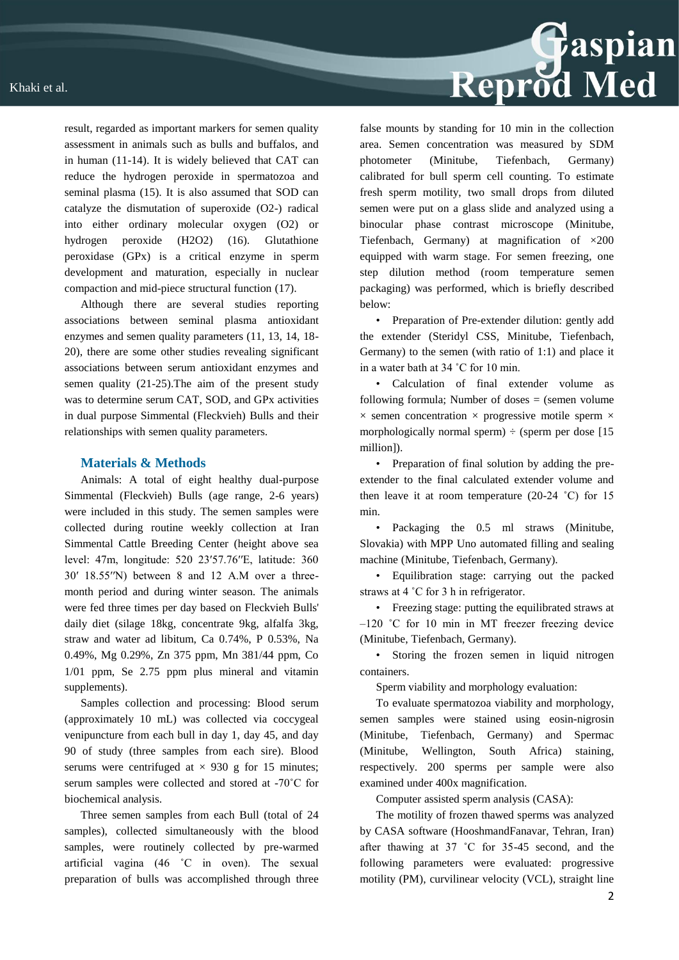

result, regarded as important markers for semen quality assessment in animals such as bulls and buffalos, and in human (11-14). It is widely believed that CAT can reduce the hydrogen peroxide in spermatozoa and seminal plasma (15). It is also assumed that SOD can catalyze the dismutation of superoxide (O2-) radical into either ordinary molecular oxygen (O2) or hydrogen peroxide (H2O2) (16). Glutathione peroxidase (GPx) is a critical enzyme in sperm development and maturation, especially in nuclear compaction and mid-piece structural function (17).

Although there are several studies reporting associations between seminal plasma antioxidant enzymes and semen quality parameters (11, 13, 14, 18- 20), there are some other studies revealing significant associations between serum antioxidant enzymes and semen quality (21-25).The aim of the present study was to determine serum CAT, SOD, and GPx activities in dual purpose Simmental (Fleckvieh) Bulls and their relationships with semen quality parameters.

#### **Materials & Methods**

Animals: A total of eight healthy dual-purpose Simmental (Fleckvieh) Bulls (age range, 2-6 years) were included in this study. The semen samples were collected during routine weekly collection at Iran Simmental Cattle Breeding Center (height above sea level: 47m, longitude: 520 23′57.76′′E, latitude: 360 30′ 18.55′′N) between 8 and 12 A.M over a threemonth period and during winter season. The animals were fed three times per day based on Fleckvieh Bulls' daily diet (silage 18kg, concentrate 9kg, alfalfa 3kg, straw and water ad libitum, Ca 0.74%, P 0.53%, Na 0.49%, Mg 0.29%, Zn 375 ppm, Mn 381/44 ppm, Co 1/01 ppm, Se 2.75 ppm plus mineral and vitamin supplements).

Samples collection and processing: Blood serum (approximately 10 mL) was collected via coccygeal venipuncture from each bull in day 1, day 45, and day 90 of study (three samples from each sire). Blood serums were centrifuged at  $\times$  930 g for 15 minutes; serum samples were collected and stored at -70˚C for biochemical analysis.

Three semen samples from each Bull (total of 24 samples), collected simultaneously with the blood samples, were routinely collected by pre-warmed artificial vagina (46 ˚C in oven). The sexual preparation of bulls was accomplished through three

false mounts by standing for 10 min in the collection area. Semen concentration was measured by SDM photometer (Minitube, Tiefenbach, Germany) calibrated for bull sperm cell counting. To estimate fresh sperm motility, two small drops from diluted semen were put on a glass slide and analyzed using a binocular phase contrast microscope (Minitube, Tiefenbach, Germany) at magnification of ×200 equipped with warm stage. For semen freezing, one step dilution method (room temperature semen packaging) was performed, which is briefly described below:

• Preparation of Pre-extender dilution: gently add the extender (Steridyl CSS, Minitube, Tiefenbach, Germany) to the semen (with ratio of 1:1) and place it in a water bath at 34 ˚C for 10 min.

• Calculation of final extender volume as following formula: Number of doses  $=$  (semen volume  $\times$  semen concentration  $\times$  progressive motile sperm  $\times$ morphologically normal sperm)  $\div$  (sperm per dose [15] million]).

• Preparation of final solution by adding the preextender to the final calculated extender volume and then leave it at room temperature  $(20-24 \degree C)$  for 15 min.

• Packaging the 0.5 ml straws (Minitube, Slovakia) with MPP Uno automated filling and sealing machine (Minitube, Tiefenbach, Germany).

• Equilibration stage: carrying out the packed straws at 4 ˚C for 3 h in refrigerator.

• Freezing stage: putting the equilibrated straws at –120 ˚C for 10 min in MT freezer freezing device (Minitube, Tiefenbach, Germany).

• Storing the frozen semen in liquid nitrogen containers.

Sperm viability and morphology evaluation:

To evaluate spermatozoa viability and morphology, semen samples were stained using eosin-nigrosin (Minitube, Tiefenbach, Germany) and Spermac (Minitube, Wellington, South Africa) staining, respectively. 200 sperms per sample were also examined under 400x magnification.

Computer assisted sperm analysis (CASA):

The motility of frozen thawed sperms was analyzed by CASA software (HooshmandFanavar, Tehran, Iran) after thawing at 37 ˚C for 35-45 second, and the following parameters were evaluated: progressive motility (PM), curvilinear velocity (VCL), straight line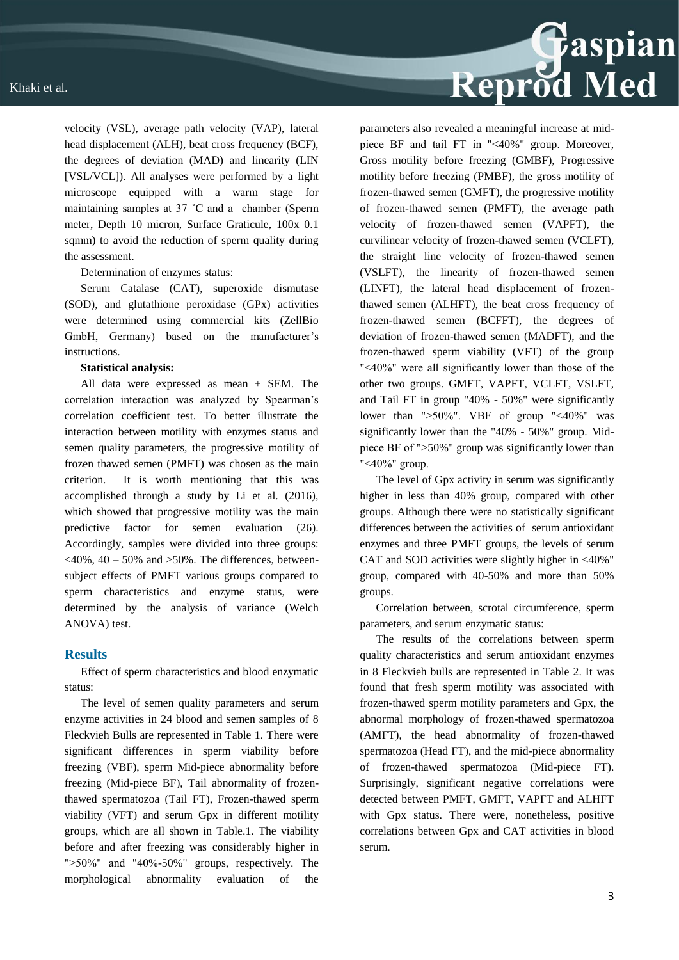

Determination of enzymes status:

Serum Catalase (CAT), superoxide dismutase (SOD), and glutathione peroxidase (GPx) activities were determined using commercial kits (ZellBio GmbH, Germany) based on the manufacturer's instructions.

#### **Statistical analysis:**

All data were expressed as mean  $\pm$  SEM. The correlation interaction was analyzed by Spearman's correlation coefficient test. To better illustrate the interaction between motility with enzymes status and semen quality parameters, the progressive motility of frozen thawed semen (PMFT) was chosen as the main criterion. It is worth mentioning that this was accomplished through a study by Li et al. (2016), which showed that progressive motility was the main predictive factor for semen evaluation (26). Accordingly, samples were divided into three groups:  $\langle 40\% , 40 - 50\% \rangle$  and  $>50\%$ . The differences, betweensubject effects of PMFT various groups compared to sperm characteristics and enzyme status, were determined by the analysis of variance (Welch ANOVA) test.

#### **Results**

Effect of sperm characteristics and blood enzymatic status:

The level of semen quality parameters and serum enzyme activities in 24 blood and semen samples of 8 Fleckvieh Bulls are represented in Table 1. There were significant differences in sperm viability before freezing (VBF), sperm Mid-piece abnormality before freezing (Mid-piece BF), Tail abnormality of frozenthawed spermatozoa (Tail FT), Frozen-thawed sperm viability (VFT) and serum Gpx in different motility groups, which are all shown in Table.1. The viability before and after freezing was considerably higher in " $>50\%$ " and "40%-50%" groups, respectively. The morphological abnormality evaluation of the

parameters also revealed a meaningful increase at midpiece BF and tail FT in "˂40%" group. Moreover, Gross motility before freezing (GMBF), Progressive motility before freezing (PMBF), the gross motility of frozen-thawed semen (GMFT), the progressive motility of frozen-thawed semen (PMFT), the average path velocity of frozen-thawed semen (VAPFT), the curvilinear velocity of frozen-thawed semen (VCLFT), the straight line velocity of frozen-thawed semen (VSLFT), the linearity of frozen-thawed semen (LINFT), the lateral head displacement of frozenthawed semen (ALHFT), the beat cross frequency of frozen-thawed semen (BCFFT), the degrees of deviation of frozen-thawed semen (MADFT), and the frozen-thawed sperm viability (VFT) of the group "˂40%" were all significantly lower than those of the other two groups. GMFT, VAPFT, VCLFT, VSLFT, and Tail FT in group "40% - 50%" were significantly lower than ">50%". VBF of group "<40%" was significantly lower than the "40% - 50%" group. Midpiece BF of "˃50%" group was significantly lower than "˂40%" group.

Reprod Med

The level of Gpx activity in serum was significantly higher in less than 40% group, compared with other groups. Although there were no statistically significant differences between the activities of serum antioxidant enzymes and three PMFT groups, the levels of serum CAT and SOD activities were slightly higher in ˂40%" group, compared with 40-50% and more than 50% groups.

Correlation between, scrotal circumference, sperm parameters, and serum enzymatic status:

The results of the correlations between sperm quality characteristics and serum antioxidant enzymes in 8 Fleckvieh bulls are represented in Table 2. It was found that fresh sperm motility was associated with frozen-thawed sperm motility parameters and Gpx, the abnormal morphology of frozen-thawed spermatozoa (AMFT), the head abnormality of frozen-thawed spermatozoa (Head FT), and the mid-piece abnormality of frozen-thawed spermatozoa (Mid-piece FT). Surprisingly, significant negative correlations were detected between PMFT, GMFT, VAPFT and ALHFT with Gpx status. There were, nonetheless, positive correlations between Gpx and CAT activities in blood serum.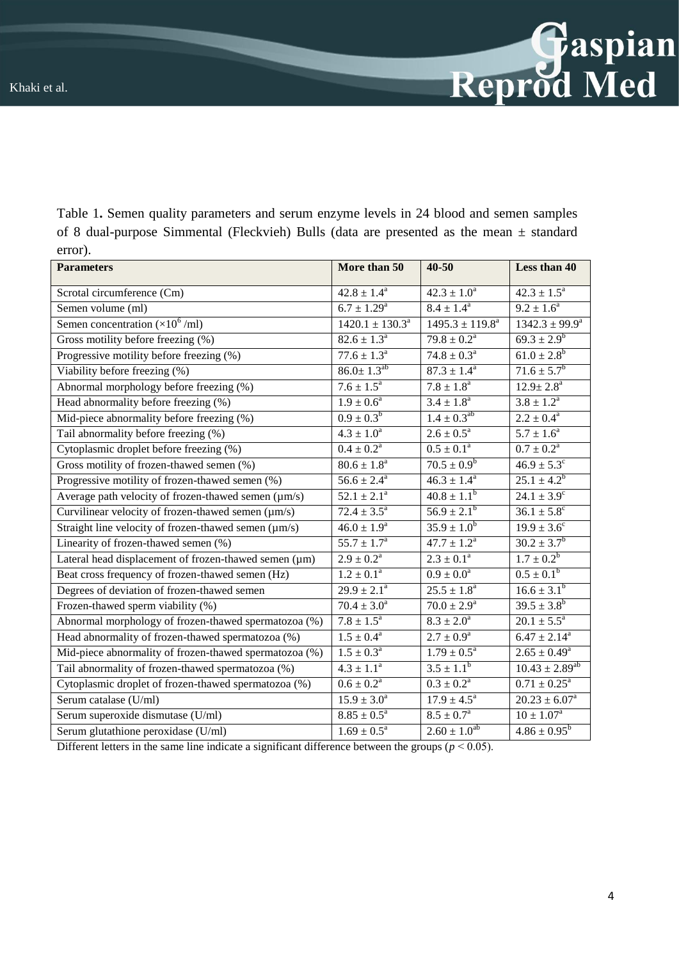| Table 1. Semen quality parameters and serum enzyme levels in 24 blood and semen samples      |
|----------------------------------------------------------------------------------------------|
| of 8 dual-purpose Simmental (Fleckvieh) Bulls (data are presented as the mean $\pm$ standard |
| error).                                                                                      |

| <b>Parameters</b>                                      | More than 50              | $40 - 50$                 | Less than 40               |
|--------------------------------------------------------|---------------------------|---------------------------|----------------------------|
| Scrotal circumference (Cm)                             | $42.8 \pm 1.4^a$          | $42.3 \pm 1.0^a$          | $42.3 \pm 1.5^a$           |
| Semen volume (ml)                                      | $6.7 \pm 1.29^{\text{a}}$ | $8.4 \pm 1.4^a$           | $9.2 \pm 1.6^a$            |
| Semen concentration $(\times 10^6$ /ml)                | $1420.1 \pm 130.3^a$      | $1495.3 \pm 119.8^a$      | $1342.3 \pm 99.9^a$        |
| Gross motility before freezing (%)                     | $82.6 \pm 1.3^a$          | $79.8 \pm 0.2^a$          | $69.3 \pm 2.9^b$           |
| Progressive motility before freezing (%)               | $77.6 \pm 1.3^a$          | $74.8 \pm 0.3^{\circ}$    | $61.0 \pm 2.8^b$           |
| Viability before freezing (%)                          | $86.0 \pm 1.3^{ab}$       | $87.3 \pm 1.4^{\circ}$    | $71.6 \pm 5.7^b$           |
| Abnormal morphology before freezing (%)                | $7.6 \pm 1.5^a$           | $7.8 \pm 1.8^a$           | $12.9 \pm 2.8^a$           |
| Head abnormality before freezing (%)                   | $1.9 \pm 0.6^a$           | $3.4 \pm 1.8^a$           | $3.8 \pm 1.2^a$            |
| Mid-piece abnormality before freezing (%)              | $0.9 \pm 0.3^b$           | $1.4 \pm 0.3^{ab}$        | $2.2 \pm 0.4^a$            |
| Tail abnormality before freezing (%)                   | $4.3 \pm 1.0^a$           | $2.6 \pm 0.5^a$           | $5.7 \pm 1.6^a$            |
| Cytoplasmic droplet before freezing (%)                | $0.4 \pm 0.2^a$           | $0.5 \pm 0.1^a$           | $0.7 \pm 0.2^{\text{a}}$   |
| Gross motility of frozen-thawed semen (%)              | $80.6 \pm 1.8^a$          | $70.5 \pm 0.9^b$          | $46.9 \pm 5.3^c$           |
| Progressive motility of frozen-thawed semen (%)        | $56.6 \pm 2.4^{\circ}$    | $46.3 \pm 1.4^a$          | $25.1 \pm 4.2^b$           |
| Average path velocity of frozen-thawed semen (µm/s)    | $52.1 \pm 2.1^a$          | $40.8 \pm 1.1^b$          | $24.1 \pm 3.9^c$           |
| Curvilinear velocity of frozen-thawed semen (µm/s)     | $72.4 \pm 3.5^a$          | $56.9 \pm 2.1^b$          | $36.1 \pm 5.8^{\circ}$     |
| Straight line velocity of frozen-thawed semen (µm/s)   | $46.0 \pm 1.9^a$          | $35.9 \pm 1.0^{b}$        | $19.9 \pm 3.6^{\circ}$     |
| Linearity of frozen-thawed semen (%)                   | $55.7 \pm 1.7^{\circ}$    | $47.7 \pm 1.2^a$          | $30.2 \pm 3.7^b$           |
| Lateral head displacement of frozen-thawed semen (µm)  | $2.9 \pm 0.2^a$           | $2.3 \pm 0.1^a$           | $1.7 \pm 0.2^b$            |
| Beat cross frequency of frozen-thawed semen (Hz)       | $1.2 \pm 0.1^a$           | $0.9 \pm 0.0^a$           | $0.5 \pm 0.1^b$            |
| Degrees of deviation of frozen-thawed semen            | $29.9 \pm 2.1^a$          | $25.5 \pm 1.8^a$          | $16.6 \pm 3.1^b$           |
| Frozen-thawed sperm viability (%)                      | $70.4 \pm 3.0^a$          | $70.0 \pm 2.9^{\text{a}}$ | $39.5 \pm 3.8^b$           |
| Abnormal morphology of frozen-thawed spermatozoa (%)   | $7.8 \pm 1.5^a$           | $8.3 \pm 2.0^a$           | $20.1 \pm 5.5^a$           |
| Head abnormality of frozen-thawed spermatozoa (%)      | $1.5 \pm 0.4^{\text{a}}$  | $2.7 \pm 0.9^a$           | $6.47 \pm 2.14^a$          |
| Mid-piece abnormality of frozen-thawed spermatozoa (%) | $1.5 \pm 0.3^{\circ}$     | $1.79 \pm 0.5^{\text{a}}$ | $2.65 \pm 0.49^{\text{a}}$ |
| Tail abnormality of frozen-thawed spermatozoa (%)      | $4.3 \pm 1.1^a$           | $3.5 \pm 1.1^b$           | $10.43 \pm 2.89^{ab}$      |
| Cytoplasmic droplet of frozen-thawed spermatozoa (%)   | $0.6 \pm 0.2^a$           | $0.3 \pm 0.2^a$           | $0.71 \pm 0.25^{\text{a}}$ |
| Serum catalase (U/ml)                                  | $15.9 \pm 3.0^a$          | $17.9 \pm 4.5^{\circ}$    | $20.23 \pm 6.07^a$         |
| Serum superoxide dismutase (U/ml)                      | $8.85 \pm 0.5^{\circ}$    | $8.5 \pm 0.7^{\circ}$     | $10 \pm 1.07^{\rm a}$      |
| Serum glutathione peroxidase (U/ml)                    | $1.69 \pm 0.5^{\circ}$    | $2.60 \pm 1.0^{ab}$       | $4.86 \pm 0.95^b$          |

Different letters in the same line indicate a significant difference between the groups ( $p < 0.05$ ).

Gaspian<br>Reprod Med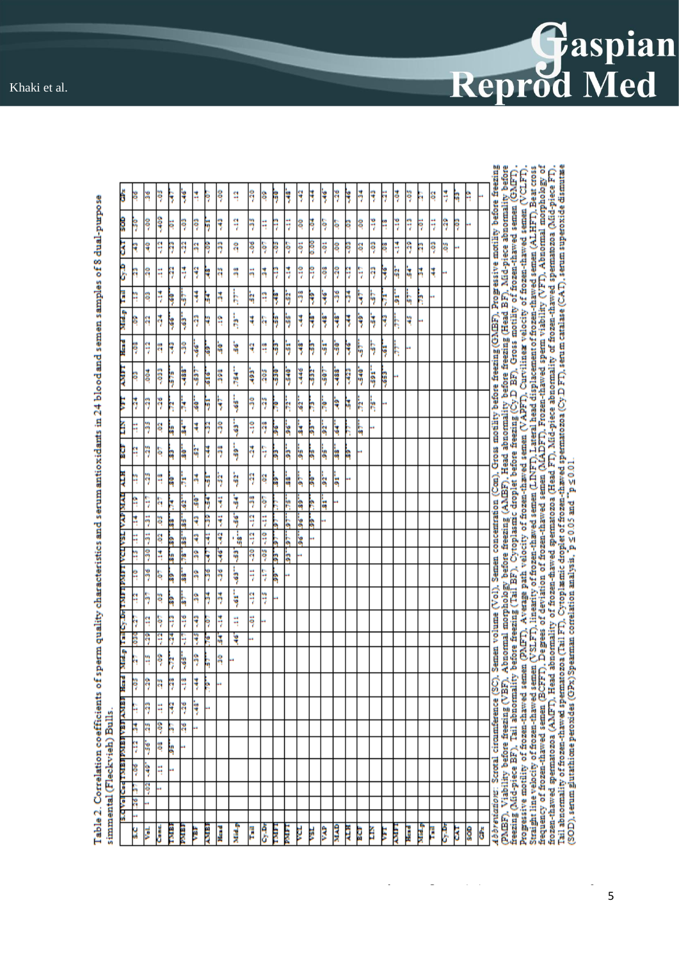

Table 2. Correlation coefficients of sperm quality characteristics and serum antioxidants in 24 blood and semen samples of 8 dual-purpose simmental (Fleckvieh) Bulls.

| ś                                   | ĕ       | ×       | $-05$  | Ŗ            | ş             | H      | ş           | Ş           | ۹              | Ş      | 8                 | ş      | ş             | ş       | ţ     | ķ    | $-26$       | ş      | ă    | ٩   | Ħ | Ş            | SQ-         | h      | Ş  | ă  | q | ۹  |   |                                                                                                                                                                                                                                                                                                                                                                                                                                                                                                                                                                                                                 |
|-------------------------------------|---------|---------|--------|--------------|---------------|--------|-------------|-------------|----------------|--------|-------------------|--------|---------------|---------|-------|------|-------------|--------|------|-----|---|--------------|-------------|--------|----|----|---|----|---|-----------------------------------------------------------------------------------------------------------------------------------------------------------------------------------------------------------------------------------------------------------------------------------------------------------------------------------------------------------------------------------------------------------------------------------------------------------------------------------------------------------------------------------------------------------------------------------------------------------------|
| 8                                   | 50      | ş       | - 409  | ē            | Ŗ             | Ŗ      | ř           | ۹           | ş              | ŋ      | Ę                 | ę      | Ę             | So.     | ĕ     | Ş.   | Ş           | SD.    | SO.  | ĭ   | H | ğ            | ۹           | Ħ      | Ę  | ş  | ş |    |   |                                                                                                                                                                                                                                                                                                                                                                                                                                                                                                                                                                                                                 |
| 3                                   | ę       | ą       | ą      | Ş            | Ş             | S      | Ş           | Ŗ           | ą              | -.06   | ş                 | Ş      | ş             | Ę       | 80.00 | 50   | ą           | ş      | 8    | ទុ  | ş | \$           | ş           | Ř      | 80 | ă  |   |    |   |                                                                                                                                                                                                                                                                                                                                                                                                                                                                                                                                                                                                                 |
| Œ                                   | Ą       | S.      | Ę      | ñ            | 3             | ş      | ۹           | ă           | ã              | ă      | 莴                 | ę      | ă             | Ę       | ę     | Į    | 90          | ş      | ş    | ş   | Ŗ | q            | Ŋ           | ă      | Į  |    |   |    |   |                                                                                                                                                                                                                                                                                                                                                                                                                                                                                                                                                                                                                 |
| E                                   | H       | Ş       | 3      | ş            | h             | ţ      | ì,          | 莴           | Ę              | ģ      | ą                 | ŧ      | ij            | ž       | Ŗ     | ķ    | 36          | ž      | ٦    | ٩   | Ę | 5            | q           | Ą      |    |    |   |    |   |                                                                                                                                                                                                                                                                                                                                                                                                                                                                                                                                                                                                                 |
| <b>Spyce</b>                        | ê       | ą       | ş      | 39           | þ             | Ŗ      | R           | ٩           | ķ              | ₹      | ą                 | ķ      | ķ             | ţ       | ş     | ķ    | Ş           | ŧ      | ş    | ķ   | ۴ | Ę            | ų           |        |    |    |   |    |   |                                                                                                                                                                                                                                                                                                                                                                                                                                                                                                                                                                                                                 |
| )<br>Haid                           | - 08    | ۹       | Ą      | ę            | 9             | 39     | ş           | Ġ,          | 'n             | ą      | q                 | Ŗ      | ķ             | ķ       | Ŗ     | ķ    | -50         | ۲      | Ş    | þ   | ş | Ę            |             |        |    |    |   |    |   |                                                                                                                                                                                                                                                                                                                                                                                                                                                                                                                                                                                                                 |
| <b>THING</b>                        | ë       | -004    | 560>   | Ş            | 388-          | 597    | 316         | š           | ķ              | 393    | $\frac{205}{205}$ | 5      | 540           | $-446$  | 532   | -307 | -388-       | $-423$ | -540 | 591 | 3 |              |             |        |    |    |   |    |   |                                                                                                                                                                                                                                                                                                                                                                                                                                                                                                                                                                                                                 |
| ă                                   | ş       | Ą       | Ş      |              |               |        |             |             | ķ              | 9      | ŋ                 |        |               |         |       |      |             |        |      |     |   |              |             |        |    |    |   |    |   | Semen volume (Vol), Semen concentration (Con), Gross motility before freezing (GMBF). Progressive motility before freezing<br>abnormality of frozen-thawed spermatozoa (Head FT). Mid-piece abnormality of frozen-thawed spermatozoa (Mid-piece FT).<br>Abnormal morphology before freezing (AMBF), Head abnormality before freezing (Head BF), Mid-piece abnormality before<br>before freezing (Tail BF), Cytoplasmic droplet before freezing (Cy.D BF), Gross motility of frozen-thawe<br>en (PMFT). Average path velocity of frozen-thaved semen (VAPFT). Curvilinea velocity of frozen-thaved semen (VCLFT) |
| Ě                                   | Ħ       | ş       | g      | Ŗ            | ķ             | 3<br>ŧ | F<br>ş      | ۶<br>ş      |                | ុ      | ş                 | R      | Ņ             | š.      | Ŗ     | ķ    | ą           | M      | Ŗ    | ķ   |   |              |             |        |    |    |   |    |   |                                                                                                                                                                                                                                                                                                                                                                                                                                                                                                                                                                                                                 |
|                                     | Ĥ       | Ķ       |        | Ą            | k             | h      | ۶           | ž           | 5<br>ķ         | Ą      |                   | å      | ä             | ă       | Ŗ     | ķ    | 39          |        | 78.  |     |   |              |             |        |    |    |   |    |   |                                                                                                                                                                                                                                                                                                                                                                                                                                                                                                                                                                                                                 |
| ĝ                                   |         |         | ş      | à            | ė             |        |             |             |                |        | ş                 | å      | ä             | ķ       | ķ     | ķ    | 38.         | S      |      |     |   |              |             |        |    |    |   |    |   |                                                                                                                                                                                                                                                                                                                                                                                                                                                                                                                                                                                                                 |
| Ę                                   | H       | Ķ       | q      | å            | k             | ă      | ń           | ş           | ģ              | Ş      | g                 | à      | ė             | S       | Ŗ     | ģ.   | ä           |        |      |     |   |              |             |        |    |    |   |    |   |                                                                                                                                                                                                                                                                                                                                                                                                                                                                                                                                                                                                                 |
| <b>IVIN 4VA 18A</b>                 | Ĥ<br>ă, | ۹<br>ij | ą<br>ë | Ř            | ä             | å<br>ę | ş           | ÿ<br>ÿ      | ٦<br>۶         | ş<br>ą | ş<br>Ę            |        | ķ             | B)      | R     | 늨    |             |        |      |     |   |              |             |        |    |    |   |    |   |                                                                                                                                                                                                                                                                                                                                                                                                                                                                                                                                                                                                                 |
|                                     | H       | ij      | Ş      | à<br>à       | 'n<br>k       | ą      | Ş<br>ÿ      | ę           | $\frac{1}{36}$ | ą      | ą                 | ĥ<br>S | S<br>ξ        | š<br>ļ. | B     |      |             |        |      |     |   |              |             |        |    |    |   |    |   |                                                                                                                                                                                                                                                                                                                                                                                                                                                                                                                                                                                                                 |
|                                     | 4       | 9       | 4      | k            | ķ             | å      | ş           | ş           | ģ              | Ş      | Ş                 | h      | ່ສຸ           |         |       |      |             |        |      |     |   |              |             |        |    |    |   |    |   |                                                                                                                                                                                                                                                                                                                                                                                                                                                                                                                                                                                                                 |
| TOA LERK LERCE FOR SOFIEL FIRE      | Ĥ       | ž       | Ş      | à            | k             | å      | ž           | ž           | 5              | Ę      | Ę                 | à      |               |         |       |      |             |        |      |     |   |              |             |        |    |    |   |    |   |                                                                                                                                                                                                                                                                                                                                                                                                                                                                                                                                                                                                                 |
|                                     | Ĥ       | Ş       | ă      | à            | b             | å      | ž           | ž           | 5              | ۹      | ă                 |        |               |         |       |      |             |        |      |     |   |              |             |        |    |    |   |    |   |                                                                                                                                                                                                                                                                                                                                                                                                                                                                                                                                                                                                                 |
|                                     | h       | q       | ş      | ş            | ij            | ۶      | Ŗ           | ă           | Ę              | ទុ     |                   |        |               |         |       |      |             |        |      |     |   |              |             |        |    |    |   |    |   |                                                                                                                                                                                                                                                                                                                                                                                                                                                                                                                                                                                                                 |
|                                     | š       | ş       | ą      |              | Ş             | Ş      | ķ           | ă           | ų              |        |                   |        |               |         |       |      |             |        |      |     |   |              |             |        |    |    |   |    |   |                                                                                                                                                                                                                                                                                                                                                                                                                                                                                                                                                                                                                 |
|                                     |         | H       | ş      | ş            | ķ             | ş      | ĥ           | ą           |                |        |                   |        |               |         |       |      |             |        |      |     |   |              |             |        |    |    |   |    |   | Straight line velocity of frozen-thawed semen (VSLFT), linearity of frozen-thawed semen (LINFT), Lateral head displacement of frozen-thawed semen (ALHFT), Beat cross<br>frequency of frozen-thawed semen (BCFFT), Degrees of dev<br>Tail abnormality of frozen-thawed spermatozoa (Tail FT). Cytoplasmic droplet of frozen-thawed spermatozoa (Cy.D FT), sen m catalase (CAT), serum superoxide dismutase<br>(SOD), serum glutathione peroxides (GPx)Spearman correlation analysis, $p \le 0.05$ and $\Gamma_p \le 0.01$ .                                                                                     |
| <b>Seat</b>                         | šDr     | Ş       | Ŋ      | ş            | $\frac{3}{2}$ | F      | ķ           |             |                |        |                   |        |               |         |       |      |             |        |      |     |   |              |             |        |    |    |   |    |   | freezing (Mid-piece BF), Tail abnormality<br>Progressive motility of frozen-thawed sem-<br>frozen-thawed spermatozoa (AMFT), Head                                                                                                                                                                                                                                                                                                                                                                                                                                                                               |
|                                     | ۹       | ŋ       | Ę      | ę            | -26           | ķ      |             |             |                |        |                   |        |               |         |       |      |             |        |      |     |   |              |             |        |    |    |   |    |   |                                                                                                                                                                                                                                                                                                                                                                                                                                                                                                                                                                                                                 |
|                                     | ă       | q       | ş      | й            | 26            |        |             |             |                |        |                   |        |               |         |       |      |             |        |      |     |   |              |             |        |    |    |   |    |   |                                                                                                                                                                                                                                                                                                                                                                                                                                                                                                                                                                                                                 |
| <b>RENT REALISTIC RENT PROJEADS</b> | 9       | š6°     | 80.    | h            |               |        |             |             |                |        |                   |        |               |         |       |      |             |        |      |     |   |              |             |        |    |    |   |    |   | Abbreviations: Scrotal circumference (SC),<br>(PMBF), Viability before freezing (VBF),                                                                                                                                                                                                                                                                                                                                                                                                                                                                                                                          |
|                                     | 90-     | à       | Ę      |              |               |        |             |             |                |        |                   |        |               |         |       |      |             |        |      |     |   |              |             |        |    |    |   |    |   |                                                                                                                                                                                                                                                                                                                                                                                                                                                                                                                                                                                                                 |
|                                     | ñ       | 8       |        |              |               |        |             |             |                |        |                   |        |               |         |       |      |             |        |      |     |   |              |             |        |    |    |   |    |   |                                                                                                                                                                                                                                                                                                                                                                                                                                                                                                                                                                                                                 |
|                                     | 36<br>u |         |        |              |               |        |             |             |                |        |                   |        |               |         |       |      |             |        |      |     |   |              |             |        |    |    |   |    |   |                                                                                                                                                                                                                                                                                                                                                                                                                                                                                                                                                                                                                 |
|                                     | ă       | Vol.    | Ğ      | <b>Conta</b> | <b>SIER</b>   | ŝ      | <b>RINA</b> | <b>Head</b> | <b>Ring</b>    | H      | ð,                | Ē      | <b>Editor</b> | ţ       | ğ     | ŝ    | <b>GYTK</b> | ALH    | ğ    | Ě   | Ę | <b>RANDA</b> | <b>Head</b> | Nisl.p | þ  | ð. | 3 | \$ | ő |                                                                                                                                                                                                                                                                                                                                                                                                                                                                                                                                                                                                                 |

5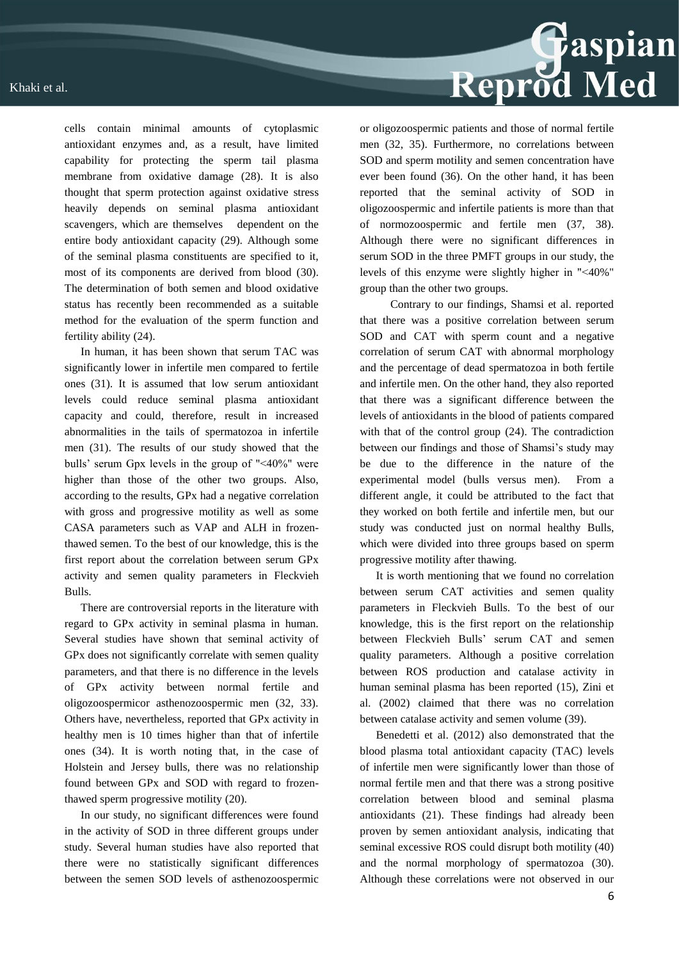cells contain minimal amounts of cytoplasmic antioxidant enzymes and, as a result, have limited capability for protecting the sperm tail plasma membrane from oxidative damage (28). It is also thought that sperm protection against oxidative stress heavily depends on seminal plasma antioxidant scavengers, which are themselves dependent on the entire body antioxidant capacity (29). Although some of the seminal plasma constituents are specified to it, most of its components are derived from blood (30). The determination of both semen and blood oxidative status has recently been recommended as a suitable method for the evaluation of the sperm function and fertility ability (24).

In human, it has been shown that serum TAC was significantly lower in infertile men compared to fertile ones (31). It is assumed that low serum antioxidant levels could reduce seminal plasma antioxidant capacity and could, therefore, result in increased abnormalities in the tails of spermatozoa in infertile men (31). The results of our study showed that the bulls' serum Gpx levels in the group of "˂40%" were higher than those of the other two groups. Also, according to the results, GPx had a negative correlation with gross and progressive motility as well as some CASA parameters such as VAP and ALH in frozenthawed semen. To the best of our knowledge, this is the first report about the correlation between serum GPx activity and semen quality parameters in Fleckvieh Bulls.

There are controversial reports in the literature with regard to GPx activity in seminal plasma in human. Several studies have shown that seminal activity of GPx does not significantly correlate with semen quality parameters, and that there is no difference in the levels of GPx activity between normal fertile and oligozoospermicor asthenozoospermic men (32, 33). Others have, nevertheless, reported that GPx activity in healthy men is 10 times higher than that of infertile ones (34). It is worth noting that, in the case of Holstein and Jersey bulls, there was no relationship found between GPx and SOD with regard to frozenthawed sperm progressive motility (20).

In our study, no significant differences were found in the activity of SOD in three different groups under study. Several human studies have also reported that there were no statistically significant differences between the semen SOD levels of asthenozoospermic or oligozoospermic patients and those of normal fertile men (32, 35). Furthermore, no correlations between SOD and sperm motility and semen concentration have ever been found (36). On the other hand, it has been reported that the seminal activity of SOD in oligozoospermic and infertile patients is more than that of normozoospermic and fertile men (37, 38). Although there were no significant differences in serum SOD in the three PMFT groups in our study, the levels of this enzyme were slightly higher in "˂40%" group than the other two groups.

 Contrary to our findings, Shamsi et al. reported that there was a positive correlation between serum SOD and CAT with sperm count and a negative correlation of serum CAT with abnormal morphology and the percentage of dead spermatozoa in both fertile and infertile men. On the other hand, they also reported that there was a significant difference between the levels of antioxidants in the blood of patients compared with that of the control group (24). The contradiction between our findings and those of Shamsi's study may be due to the difference in the nature of the experimental model (bulls versus men). From a different angle, it could be attributed to the fact that they worked on both fertile and infertile men, but our study was conducted just on normal healthy Bulls, which were divided into three groups based on sperm progressive motility after thawing.

It is worth mentioning that we found no correlation between serum CAT activities and semen quality parameters in Fleckvieh Bulls. To the best of our knowledge, this is the first report on the relationship between Fleckvieh Bulls' serum CAT and semen quality parameters. Although a positive correlation between ROS production and catalase activity in human seminal plasma has been reported (15), Zini et al. (2002) claimed that there was no correlation between catalase activity and semen volume (39).

Benedetti et al. (2012) also demonstrated that the blood plasma total antioxidant capacity (TAC) levels of infertile men were significantly lower than those of normal fertile men and that there was a strong positive correlation between blood and seminal plasma antioxidants (21). These findings had already been proven by semen antioxidant analysis, indicating that seminal excessive ROS could disrupt both motility (40) and the normal morphology of spermatozoa (30). Although these correlations were not observed in our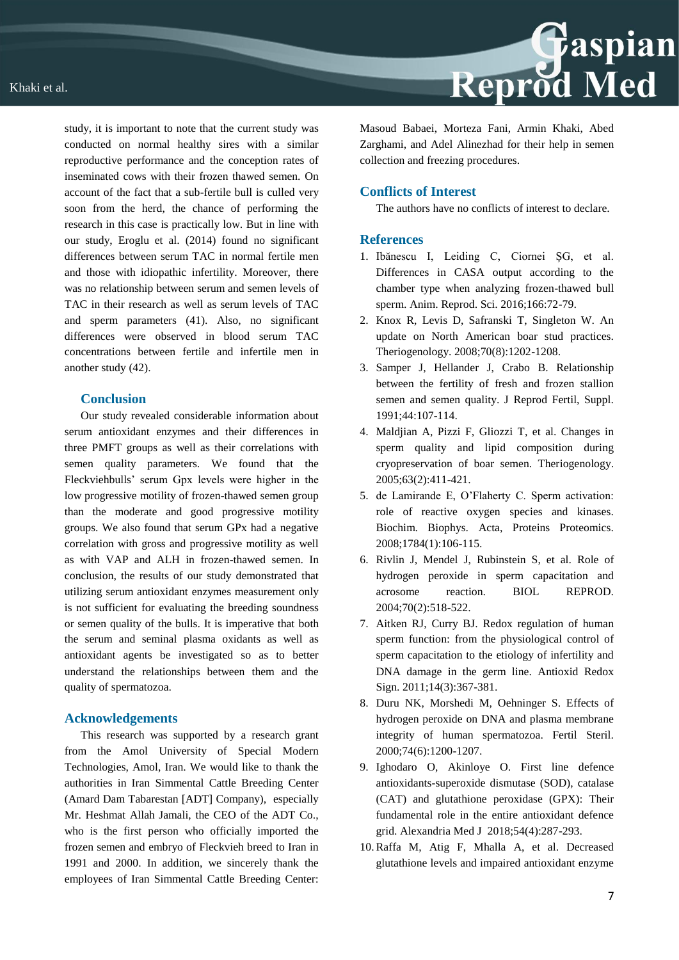

## **Conclusion**

Our study revealed considerable information about serum antioxidant enzymes and their differences in three PMFT groups as well as their correlations with semen quality parameters. We found that the Fleckviehbulls' serum Gpx levels were higher in the low progressive motility of frozen-thawed semen group than the moderate and good progressive motility groups. We also found that serum GPx had a negative correlation with gross and progressive motility as well as with VAP and ALH in frozen-thawed semen. In conclusion, the results of our study demonstrated that utilizing serum antioxidant enzymes measurement only is not sufficient for evaluating the breeding soundness or semen quality of the bulls. It is imperative that both the serum and seminal plasma oxidants as well as antioxidant agents be investigated so as to better understand the relationships between them and the quality of spermatozoa.

#### **Acknowledgements**

This research was supported by a research grant from the Amol University of Special Modern Technologies, Amol, Iran. We would like to thank the authorities in Iran Simmental Cattle Breeding Center (Amard Dam Tabarestan [ADT] Company), especially Mr. Heshmat Allah Jamali, the CEO of the ADT Co., who is the first person who officially imported the frozen semen and embryo of Fleckvieh breed to Iran in 1991 and 2000. In addition, we sincerely thank the employees of Iran Simmental Cattle Breeding Center:



Masoud Babaei, Morteza Fani, Armin Khaki, Abed Zarghami, and Adel Alinezhad for their help in semen collection and freezing procedures.

#### **Conflicts of Interest**

The authors have no conflicts of interest to declare.

#### **References**

- 1. Ibănescu I, Leiding C, Ciornei ŞG, et al. Differences in CASA output according to the chamber type when analyzing frozen-thawed bull sperm. Anim. Reprod. Sci. 2016;166:72-79.
- 2. Knox R, Levis D, Safranski T, Singleton W. An update on North American boar stud practices. Theriogenology. 2008;70(8):1202-1208.
- 3. Samper J, Hellander J, Crabo B. Relationship between the fertility of fresh and frozen stallion semen and semen quality. J Reprod Fertil, Suppl. 1991;44:107-114.
- 4. Maldjian A, Pizzi F, Gliozzi T, et al. Changes in sperm quality and lipid composition during cryopreservation of boar semen. Theriogenology. 2005;63(2):411-421.
- 5. de Lamirande E, O'Flaherty C. Sperm activation: role of reactive oxygen species and kinases. Biochim. Biophys. Acta, Proteins Proteomics. 2008;1784(1):106-115.
- 6. Rivlin J, Mendel J, Rubinstein S, et al. Role of hydrogen peroxide in sperm capacitation and acrosome reaction. BIOL REPROD. 2004;70(2):518-522.
- 7. Aitken RJ, Curry BJ. Redox regulation of human sperm function: from the physiological control of sperm capacitation to the etiology of infertility and DNA damage in the germ line. Antioxid Redox Sign. 2011;14(3):367-381.
- 8. Duru NK, Morshedi M, Oehninger S. Effects of hydrogen peroxide on DNA and plasma membrane integrity of human spermatozoa. Fertil Steril. 2000;74(6):1200-1207.
- 9. Ighodaro O, Akinloye O. First line defence antioxidants-superoxide dismutase (SOD), catalase (CAT) and glutathione peroxidase (GPX): Their fundamental role in the entire antioxidant defence grid. Alexandria Med J 2018;54(4):287-293.
- 10.Raffa M, Atig F, Mhalla A, et al. Decreased glutathione levels and impaired antioxidant enzyme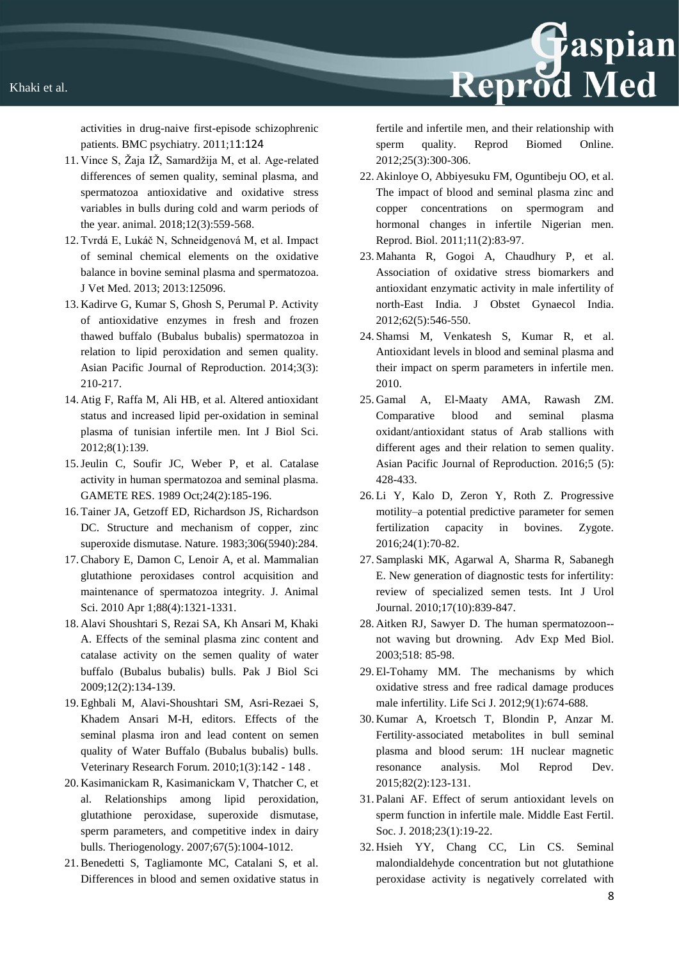activities in drug-naive first-episode schizophrenic patients. BMC psychiatry. 2011;11:124

- 11. Vince S, Žaja IŽ, Samardžija M, et al. Age-related differences of semen quality, seminal plasma, and spermatozoa antioxidative and oxidative stress variables in bulls during cold and warm periods of the year. animal. 2018;12(3):559-568.
- 12. Tvrdá E, Lukáč N, Schneidgenová M, et al. Impact of seminal chemical elements on the oxidative balance in bovine seminal plasma and spermatozoa. J Vet Med. 2013; 2013:125096.
- 13. Kadirve G, Kumar S, Ghosh S, Perumal P. Activity of antioxidative enzymes in fresh and frozen thawed buffalo (Bubalus bubalis) spermatozoa in relation to lipid peroxidation and semen quality. Asian Pacific Journal of Reproduction. 2014;3(3): 210-217.
- 14. Atig F, Raffa M, Ali HB, et al. Altered antioxidant status and increased lipid per-oxidation in seminal plasma of tunisian infertile men. Int J Biol Sci. 2012;8(1):139.
- 15.Jeulin C, Soufir JC, Weber P, et al. Catalase activity in human spermatozoa and seminal plasma. GAMETE RES. 1989 Oct;24(2):185-196.
- 16. Tainer JA, Getzoff ED, Richardson JS, Richardson DC. Structure and mechanism of copper, zinc superoxide dismutase. Nature. 1983;306(5940):284.
- 17.Chabory E, Damon C, Lenoir A, et al. Mammalian glutathione peroxidases control acquisition and maintenance of spermatozoa integrity. J. Animal Sci. 2010 Apr 1;88(4):1321-1331.
- 18. Alavi Shoushtari S, Rezai SA, Kh Ansari M, Khaki A. Effects of the seminal plasma zinc content and catalase activity on the semen quality of water buffalo (Bubalus bubalis) bulls. Pak J Biol Sci 2009;12(2):134-139.
- 19. Eghbali M, Alavi-Shoushtari SM, Asri-Rezaei S, Khadem Ansari M-H, editors. Effects of the seminal plasma iron and lead content on semen quality of Water Buffalo (Bubalus bubalis) bulls. Veterinary Research Forum. 2010;1(3):142 - 148 .
- 20. Kasimanickam R, Kasimanickam V, Thatcher C, et al. Relationships among lipid peroxidation, glutathione peroxidase, superoxide dismutase, sperm parameters, and competitive index in dairy bulls. Theriogenology. 2007;67(5):1004-1012.
- 21.Benedetti S, Tagliamonte MC, Catalani S, et al. Differences in blood and semen oxidative status in

fertile and infertile men, and their relationship with sperm quality. Reprod Biomed Online. 2012;25(3):300-306.

Reprod Med

- 22. Akinloye O, Abbiyesuku FM, Oguntibeju OO, et al. The impact of blood and seminal plasma zinc and copper concentrations on spermogram and hormonal changes in infertile Nigerian men. Reprod. Biol. 2011;11(2):83-97.
- 23. Mahanta R, Gogoi A, Chaudhury P, et al. Association of oxidative stress biomarkers and antioxidant enzymatic activity in male infertility of north-East India. J Obstet Gynaecol India. 2012;62(5):546-550.
- 24. Shamsi M, Venkatesh S, Kumar R, et al. Antioxidant levels in blood and seminal plasma and their impact on sperm parameters in infertile men. 2010.
- 25. Gamal A, El-Maaty AMA, Rawash ZM. Comparative blood and seminal plasma oxidant/antioxidant status of Arab stallions with different ages and their relation to semen quality. Asian Pacific Journal of Reproduction. 2016;5 (5): 428-433.
- 26. Li Y, Kalo D, Zeron Y, Roth Z. Progressive motility–a potential predictive parameter for semen fertilization capacity in bovines. Zygote. 2016;24(1):70-82.
- 27. Samplaski MK, Agarwal A, Sharma R, Sabanegh E. New generation of diagnostic tests for infertility: review of specialized semen tests. Int J Urol Journal. 2010;17(10):839-847.
- 28. Aitken RJ, Sawyer D. The human spermatozoon- not waving but drowning. Adv Exp Med Biol. 2003;518: 85-98.
- 29. El-Tohamy MM. The mechanisms by which oxidative stress and free radical damage produces male infertility. Life Sci J. 2012;9(1):674-688.
- 30. Kumar A, Kroetsch T, Blondin P, Anzar M. Fertility‐associated metabolites in bull seminal plasma and blood serum: 1H nuclear magnetic resonance analysis. Mol Reprod Dev. 2015;82(2):123-131.
- 31. Palani AF. Effect of serum antioxidant levels on sperm function in infertile male. Middle East Fertil. Soc. J. 2018;23(1):19-22.
- 32. Hsieh YY, Chang CC, Lin CS. Seminal malondialdehyde concentration but not glutathione peroxidase activity is negatively correlated with